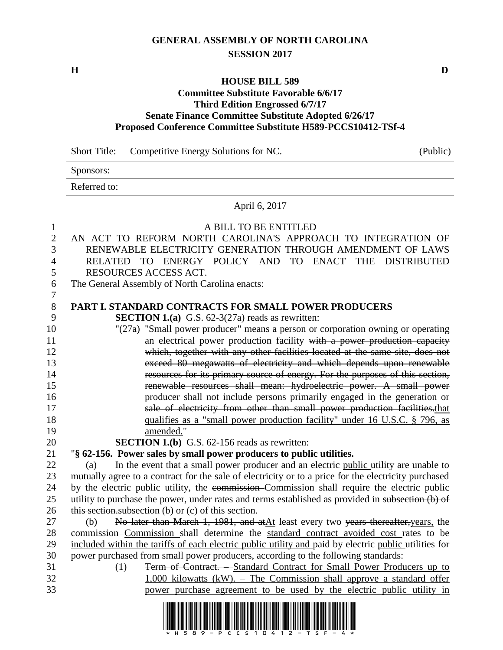# **GENERAL ASSEMBLY OF NORTH CAROLINA SESSION 2017**

**H D**

### **HOUSE BILL 589**

#### **Committee Substitute Favorable 6/6/17 Third Edition Engrossed 6/7/17 Senate Finance Committee Substitute Adopted 6/26/17 Proposed Conference Committee Substitute H589-PCCS10412-TSf-4**

|                                            | <b>Short Title:</b><br>Competitive Energy Solutions for NC.<br>(Public)                                                                                                                                                                                                                                        |
|--------------------------------------------|----------------------------------------------------------------------------------------------------------------------------------------------------------------------------------------------------------------------------------------------------------------------------------------------------------------|
|                                            | Sponsors:                                                                                                                                                                                                                                                                                                      |
|                                            | Referred to:                                                                                                                                                                                                                                                                                                   |
|                                            | April 6, 2017                                                                                                                                                                                                                                                                                                  |
| 1<br>$\mathbf{2}$<br>3<br>4<br>5<br>6<br>7 | A BILL TO BE ENTITLED<br>AN ACT TO REFORM NORTH CAROLINA'S APPROACH TO INTEGRATION OF<br>RENEWABLE ELECTRICITY GENERATION THROUGH AMENDMENT OF LAWS<br>TO ENERGY POLICY AND<br>TO ENACT THE<br><b>DISTRIBUTED</b><br><b>RELATED</b><br>RESOURCES ACCESS ACT.<br>The General Assembly of North Carolina enacts: |
| $8\,$                                      | <b>PART I. STANDARD CONTRACTS FOR SMALL POWER PRODUCERS</b>                                                                                                                                                                                                                                                    |
| 9                                          | <b>SECTION 1.(a)</b> G.S. $62-3(27a)$ reads as rewritten:                                                                                                                                                                                                                                                      |
| 10                                         | "(27a) "Small power producer" means a person or corporation owning or operating                                                                                                                                                                                                                                |
| 11<br>12                                   | an electrical power production facility with a power production capacity                                                                                                                                                                                                                                       |
| 13                                         | which, together with any other facilities located at the same site, does not<br>exceed 80 megawatts of electricity and which depends upon renewable                                                                                                                                                            |
| 14                                         | resources for its primary source of energy. For the purposes of this section,                                                                                                                                                                                                                                  |
| 15                                         | renewable resources shall mean: hydroelectric power. A small power                                                                                                                                                                                                                                             |
| 16                                         | producer shall not include persons primarily engaged in the generation or                                                                                                                                                                                                                                      |
| 17                                         | sale of electricity from other than small power production facilities.that                                                                                                                                                                                                                                     |
| 18                                         | qualifies as a "small power production facility" under 16 U.S.C. § 796, as                                                                                                                                                                                                                                     |
| 19                                         | amended."                                                                                                                                                                                                                                                                                                      |
| 20                                         | <b>SECTION 1.(b)</b> G.S. 62-156 reads as rewritten:                                                                                                                                                                                                                                                           |
| 21                                         | "§ 62-156. Power sales by small power producers to public utilities.                                                                                                                                                                                                                                           |
| 22                                         | In the event that a small power producer and an electric public utility are unable to<br>(a)                                                                                                                                                                                                                   |
| 23                                         | mutually agree to a contract for the sale of electricity or to a price for the electricity purchased                                                                                                                                                                                                           |
| 24                                         | by the electric public utility, the commission Commission shall require the electric public                                                                                                                                                                                                                    |
| 25                                         | utility to purchase the power, under rates and terms established as provided in subsection (b) of                                                                                                                                                                                                              |
| 26                                         | this section subsection (b) or (c) of this section.                                                                                                                                                                                                                                                            |
| 27                                         | No later than March 1, 1981, and at At least every two years thereafter, years, the<br>(b)                                                                                                                                                                                                                     |
| 28                                         | commission Commission shall determine the standard contract avoided cost rates to be<br>included within the tariffs of each electric public utility and paid by electric public utilities for                                                                                                                  |
| 29<br>30                                   | power purchased from small power producers, according to the following standards:                                                                                                                                                                                                                              |
| 31                                         | Term of Contract. - Standard Contract for Small Power Producers up to<br>(1)                                                                                                                                                                                                                                   |
| 32                                         | $1,000$ kilowatts (kW). – The Commission shall approve a standard offer                                                                                                                                                                                                                                        |
| 33                                         | power purchase agreement to be used by the electric public utility in                                                                                                                                                                                                                                          |

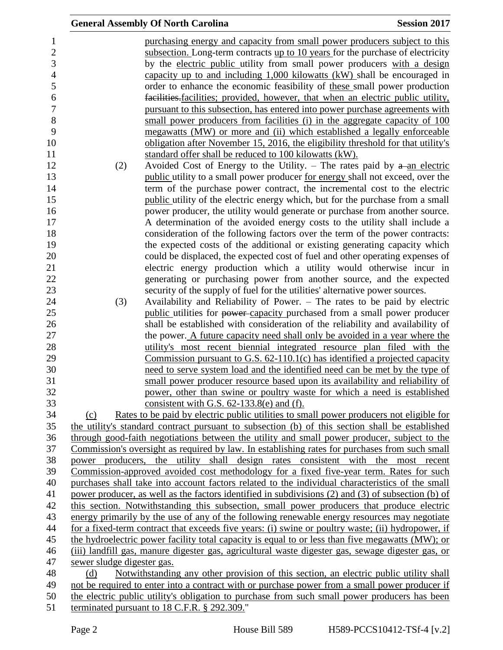|                            | <b>General Assembly Of North Carolina</b>                                                                                                                                         | <b>Session 2017</b> |
|----------------------------|-----------------------------------------------------------------------------------------------------------------------------------------------------------------------------------|---------------------|
|                            | purchasing energy and capacity from small power producers subject to this                                                                                                         |                     |
|                            | subsection. Long-term contracts up to 10 years for the purchase of electricity                                                                                                    |                     |
|                            | by the electric public utility from small power producers with a design                                                                                                           |                     |
|                            | capacity up to and including $1,000$ kilowatts (kW) shall be encouraged in                                                                                                        |                     |
|                            | order to enhance the economic feasibility of these small power production                                                                                                         |                     |
|                            | facilities facilities; provided, however, that when an electric public utility,                                                                                                   |                     |
|                            | pursuant to this subsection, has entered into power purchase agreements with                                                                                                      |                     |
|                            | small power producers from facilities (i) in the aggregate capacity of 100                                                                                                        |                     |
|                            | megawatts (MW) or more and (ii) which established a legally enforceable                                                                                                           |                     |
|                            | obligation after November 15, 2016, the eligibility threshold for that utility's                                                                                                  |                     |
|                            | standard offer shall be reduced to 100 kilowatts (kW).                                                                                                                            |                     |
| (2)                        | Avoided Cost of Energy to the Utility. – The rates paid by $a$ -an electric                                                                                                       |                     |
|                            | public utility to a small power producer <u>for energy</u> shall not exceed, over the                                                                                             |                     |
|                            | term of the purchase power contract, the incremental cost to the electric                                                                                                         |                     |
|                            | public utility of the electric energy which, but for the purchase from a small                                                                                                    |                     |
|                            | power producer, the utility would generate or purchase from another source.                                                                                                       |                     |
|                            | A determination of the avoided energy costs to the utility shall include a                                                                                                        |                     |
|                            | consideration of the following factors over the term of the power contracts:                                                                                                      |                     |
|                            | the expected costs of the additional or existing generating capacity which                                                                                                        |                     |
|                            | could be displaced, the expected cost of fuel and other operating expenses of                                                                                                     |                     |
|                            | electric energy production which a utility would otherwise incur in                                                                                                               |                     |
|                            | generating or purchasing power from another source, and the expected                                                                                                              |                     |
|                            | security of the supply of fuel for the utilities' alternative power sources.                                                                                                      |                     |
| (3)                        | Availability and Reliability of Power. – The rates to be paid by electric                                                                                                         |                     |
|                            | public utilities for power-capacity purchased from a small power producer                                                                                                         |                     |
|                            | shall be established with consideration of the reliability and availability of                                                                                                    |                     |
|                            | the power. A future capacity need shall only be avoided in a year where the                                                                                                       |                     |
|                            | utility's most recent biennial integrated resource plan filed with the                                                                                                            |                     |
|                            | Commission pursuant to G.S. $62-110.1(c)$ has identified a projected capacity                                                                                                     |                     |
|                            | need to serve system load and the identified need can be met by the type of                                                                                                       |                     |
|                            | small power producer resource based upon its availability and reliability of                                                                                                      |                     |
|                            | power, other than swine or poultry waste for which a need is established                                                                                                          |                     |
|                            | consistent with G.S. $62-133.8(e)$ and (f).                                                                                                                                       |                     |
| (c)                        | Rates to be paid by electric public utilities to small power producers not eligible for                                                                                           |                     |
|                            | the utility's standard contract pursuant to subsection (b) of this section shall be established                                                                                   |                     |
|                            | through good-faith negotiations between the utility and small power producer, subject to the                                                                                      |                     |
|                            | Commission's oversight as required by law. In establishing rates for purchases from such small<br>power producers, the utility shall design rates consistent with the most recent |                     |
|                            | Commission-approved avoided cost methodology for a fixed five-year term. Rates for such                                                                                           |                     |
|                            | purchases shall take into account factors related to the individual characteristics of the small                                                                                  |                     |
|                            | power producer, as well as the factors identified in subdivisions (2) and (3) of subsection (b) of                                                                                |                     |
|                            | this section. Notwithstanding this subsection, small power producers that produce electric                                                                                        |                     |
|                            | energy primarily by the use of any of the following renewable energy resources may negotiate                                                                                      |                     |
|                            | for a fixed-term contract that exceeds five years: (i) swine or poultry waste; (ii) hydropower, if                                                                                |                     |
|                            | the hydroelectric power facility total capacity is equal to or less than five megawatts (MW); or                                                                                  |                     |
|                            | (iii) landfill gas, manure digester gas, agricultural waste digester gas, sewage digester gas, or                                                                                 |                     |
| sewer sludge digester gas. |                                                                                                                                                                                   |                     |
| (d)                        | Notwithstanding any other provision of this section, an electric public utility shall                                                                                             |                     |
|                            | not be required to enter into a contract with or purchase power from a small power producer if                                                                                    |                     |
|                            | the electric public utility's obligation to purchase from such small power producers has been                                                                                     |                     |
|                            | terminated pursuant to 18 C.F.R. § 292.309."                                                                                                                                      |                     |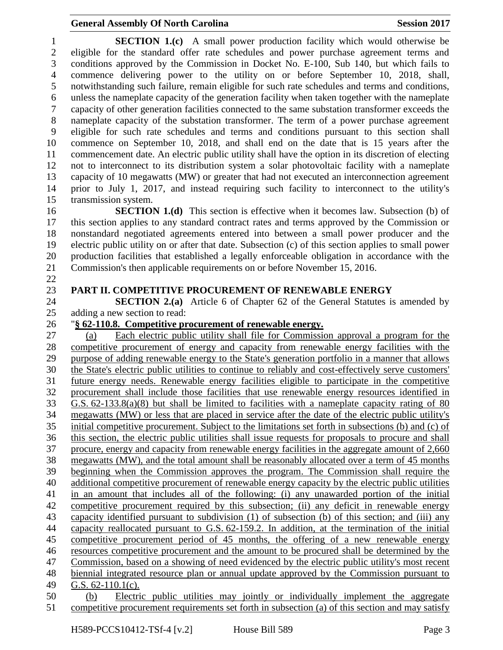eligible for the standard offer rate schedules and power purchase agreement terms and conditions approved by the Commission in Docket No. E-100, Sub 140, but which fails to commence delivering power to the utility on or before September 10, 2018, shall, notwithstanding such failure, remain eligible for such rate schedules and terms and conditions, unless the nameplate capacity of the generation facility when taken together with the nameplate capacity of other generation facilities connected to the same substation transformer exceeds the nameplate capacity of the substation transformer. The term of a power purchase agreement eligible for such rate schedules and terms and conditions pursuant to this section shall commence on September 10, 2018, and shall end on the date that is 15 years after the commencement date. An electric public utility shall have the option in its discretion of electing not to interconnect to its distribution system a solar photovoltaic facility with a nameplate capacity of 10 megawatts (MW) or greater that had not executed an interconnection agreement prior to July 1, 2017, and instead requiring such facility to interconnect to the utility's transmission system. **SECTION 1.(d)** This section is effective when it becomes law. Subsection (b) of this section applies to any standard contract rates and terms approved by the Commission or nonstandard negotiated agreements entered into between a small power producer and the electric public utility on or after that date. Subsection (c) of this section applies to small power production facilities that established a legally enforceable obligation in accordance with the Commission's then applicable requirements on or before November 15, 2016. **PART II. COMPETITIVE PROCUREMENT OF RENEWABLE ENERGY SECTION 2.(a)** Article 6 of Chapter 62 of the General Statutes is amended by adding a new section to read: "**§ 62-110.8. Competitive procurement of renewable energy.** (a) Each electric public utility shall file for Commission approval a program for the competitive procurement of energy and capacity from renewable energy facilities with the purpose of adding renewable energy to the State's generation portfolio in a manner that allows the State's electric public utilities to continue to reliably and cost-effectively serve customers' future energy needs. Renewable energy facilities eligible to participate in the competitive procurement shall include those facilities that use renewable energy resources identified in G.S. 62-133.8(a)(8) but shall be limited to facilities with a nameplate capacity rating of 80 megawatts (MW) or less that are placed in service after the date of the electric public utility's initial competitive procurement. Subject to the limitations set forth in subsections (b) and (c) of this section, the electric public utilities shall issue requests for proposals to procure and shall procure, energy and capacity from renewable energy facilities in the aggregate amount of 2,660 megawatts (MW), and the total amount shall be reasonably allocated over a term of 45 months beginning when the Commission approves the program. The Commission shall require the additional competitive procurement of renewable energy capacity by the electric public utilities in an amount that includes all of the following: (i) any unawarded portion of the initial competitive procurement required by this subsection; (ii) any deficit in renewable energy capacity identified pursuant to subdivision (1) of subsection (b) of this section; and (iii) any capacity reallocated pursuant to G.S. 62-159.2. In addition, at the termination of the initial competitive procurement period of 45 months, the offering of a new renewable energy resources competitive procurement and the amount to be procured shall be determined by the Commission, based on a showing of need evidenced by the electric public utility's most recent biennial integrated resource plan or annual update approved by the Commission pursuant to G.S. 62-110.1(c). (b) Electric public utilities may jointly or individually implement the aggregate competitive procurement requirements set forth in subsection (a) of this section and may satisfy

**SECTION 1.(c)** A small power production facility which would otherwise be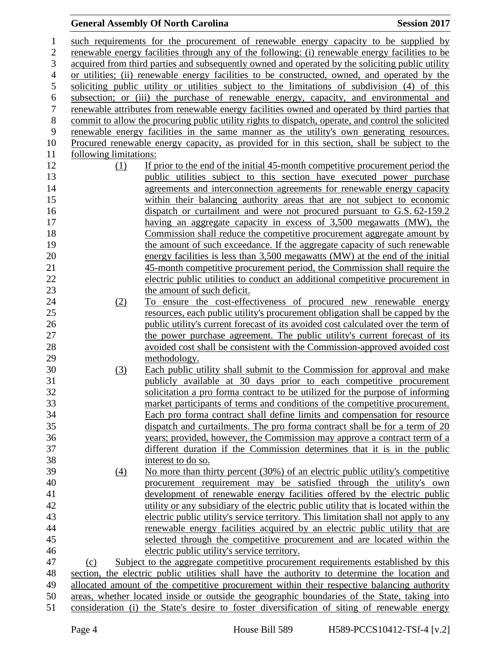| $\mathbf{1}$     |                        | such requirements for the procurement of renewable energy capacity to be supplied by                |
|------------------|------------------------|-----------------------------------------------------------------------------------------------------|
| $\overline{2}$   |                        | renewable energy facilities through any of the following: (i) renewable energy facilities to be     |
| 3                |                        | acquired from third parties and subsequently owned and operated by the soliciting public utility    |
| $\overline{4}$   |                        | or utilities; (ii) renewable energy facilities to be constructed, owned, and operated by the        |
| 5                |                        | soliciting public utility or utilities subject to the limitations of subdivision (4) of this        |
| 6                |                        | subsection; or (iii) the purchase of renewable energy, capacity, and environmental and              |
| $\boldsymbol{7}$ |                        | renewable attributes from renewable energy facilities owned and operated by third parties that      |
| $8\,$            |                        | commit to allow the procuring public utility rights to dispatch, operate, and control the solicited |
| 9                |                        | renewable energy facilities in the same manner as the utility's own generating resources.           |
| 10               |                        | Procured renewable energy capacity, as provided for in this section, shall be subject to the        |
| 11               | following limitations: |                                                                                                     |
| 12               | (1)                    | If prior to the end of the initial 45-month competitive procurement period the                      |
| 13               |                        | public utilities subject to this section have executed power purchase                               |
| 14               |                        | agreements and interconnection agreements for renewable energy capacity                             |
| 15               |                        | within their balancing authority areas that are not subject to economic                             |
| 16               |                        | dispatch or curtailment and were not procured pursuant to G.S. 62-159.2                             |
| 17               |                        | having an aggregate capacity in excess of 3,500 megawatts (MW), the                                 |
| 18               |                        | Commission shall reduce the competitive procurement aggregate amount by                             |
| 19               |                        | the amount of such exceedance. If the aggregate capacity of such renewable                          |
| 20               |                        | energy facilities is less than 3,500 megawatts (MW) at the end of the initial                       |
| 21               |                        | 45-month competitive procurement period, the Commission shall require the                           |
| 22               |                        | electric public utilities to conduct an additional competitive procurement in                       |
| 23               |                        | the amount of such deficit.                                                                         |
| 24               | (2)                    | To ensure the cost-effectiveness of procured new renewable energy                                   |
| 25               |                        | resources, each public utility's procurement obligation shall be capped by the                      |
| 26               |                        | public utility's current forecast of its avoided cost calculated over the term of                   |
| 27               |                        | the power purchase agreement. The public utility's current forecast of its                          |
| 28               |                        | avoided cost shall be consistent with the Commission-approved avoided cost                          |
| 29               |                        | methodology.                                                                                        |
| 30               | (3)                    | Each public utility shall submit to the Commission for approval and make                            |
| 31               |                        | publicly available at 30 days prior to each competitive procurement                                 |
| 32               |                        | solicitation a pro forma contract to be utilized for the purpose of informing                       |
| 33               |                        | market participants of terms and conditions of the competitive procurement.                         |
| 34               |                        | Each pro forma contract shall define limits and compensation for resource                           |
| 35               |                        | dispatch and curtailments. The pro forma contract shall be for a term of 20                         |
| 36               |                        | years; provided, however, the Commission may approve a contract term of a                           |
| 37               |                        | different duration if the Commission determines that it is in the public                            |
| 38               |                        | interest to do so.                                                                                  |
| 39               | $\underline{(4)}$      | No more than thirty percent (30%) of an electric public utility's competitive                       |
| 40               |                        | procurement requirement may be satisfied through the utility's own                                  |
| 41               |                        | development of renewable energy facilities offered by the electric public                           |
| 42               |                        | utility or any subsidiary of the electric public utility that is located within the                 |
| 43               |                        | electric public utility's service territory. This limitation shall not apply to any                 |
| 44               |                        | renewable energy facilities acquired by an electric public utility that are                         |
| 45               |                        | selected through the competitive procurement and are located within the                             |
| 46               |                        | electric public utility's service territory.                                                        |
| 47               | (c)                    | Subject to the aggregate competitive procurement requirements established by this                   |
| 48               |                        | section, the electric public utilities shall have the authority to determine the location and       |
| 49               |                        | allocated amount of the competitive procurement within their respective balancing authority         |
| 50               |                        | areas, whether located inside or outside the geographic boundaries of the State, taking into        |
| 51               |                        | consideration (i) the State's desire to foster diversification of siting of renewable energy        |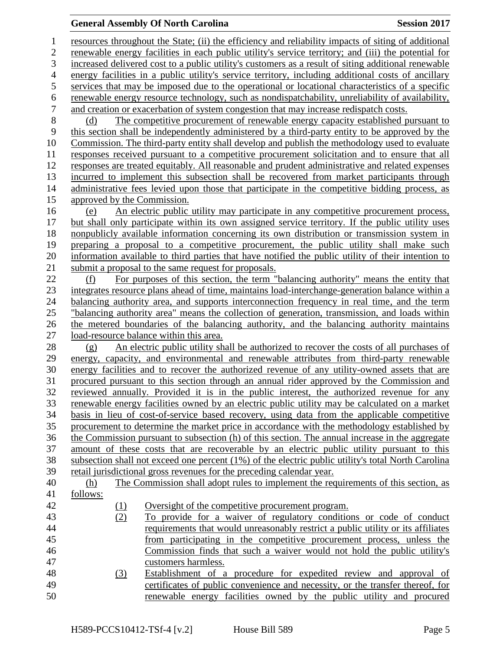resources throughout the State; (ii) the efficiency and reliability impacts of siting of additional renewable energy facilities in each public utility's service territory; and (iii) the potential for increased delivered cost to a public utility's customers as a result of siting additional renewable energy facilities in a public utility's service territory, including additional costs of ancillary services that may be imposed due to the operational or locational characteristics of a specific 6 renewable energy resource technology, such as nondispatchability, unreliability of availability,<br>7 and creation or exacerbation of system congestion that may increase redispatch costs. and creation or exacerbation of system congestion that may increase redispatch costs. (d) The competitive procurement of renewable energy capacity established pursuant to this section shall be independently administered by a third-party entity to be approved by the Commission. The third-party entity shall develop and publish the methodology used to evaluate responses received pursuant to a competitive procurement solicitation and to ensure that all responses are treated equitably. All reasonable and prudent administrative and related expenses incurred to implement this subsection shall be recovered from market participants through administrative fees levied upon those that participate in the competitive bidding process, as approved by the Commission. (e) An electric public utility may participate in any competitive procurement process, but shall only participate within its own assigned service territory. If the public utility uses nonpublicly available information concerning its own distribution or transmission system in preparing a proposal to a competitive procurement, the public utility shall make such information available to third parties that have notified the public utility of their intention to submit a proposal to the same request for proposals. (f) For purposes of this section, the term "balancing authority" means the entity that integrates resource plans ahead of time, maintains load-interchange-generation balance within a balancing authority area, and supports interconnection frequency in real time, and the term "balancing authority area" means the collection of generation, transmission, and loads within the metered boundaries of the balancing authority, and the balancing authority maintains load-resource balance within this area. (g) An electric public utility shall be authorized to recover the costs of all purchases of energy, capacity, and environmental and renewable attributes from third-party renewable energy facilities and to recover the authorized revenue of any utility-owned assets that are procured pursuant to this section through an annual rider approved by the Commission and reviewed annually. Provided it is in the public interest, the authorized revenue for any renewable energy facilities owned by an electric public utility may be calculated on a market basis in lieu of cost-of-service based recovery, using data from the applicable competitive procurement to determine the market price in accordance with the methodology established by the Commission pursuant to subsection (h) of this section. The annual increase in the aggregate amount of these costs that are recoverable by an electric public utility pursuant to this subsection shall not exceed one percent (1%) of the electric public utility's total North Carolina retail jurisdictional gross revenues for the preceding calendar year. (h) The Commission shall adopt rules to implement the requirements of this section, as follows: 42 (1) Oversight of the competitive procurement program. (2) To provide for a waiver of regulatory conditions or code of conduct requirements that would unreasonably restrict a public utility or its affiliates from participating in the competitive procurement process, unless the Commission finds that such a waiver would not hold the public utility's customers harmless. (3) Establishment of a procedure for expedited review and approval of certificates of public convenience and necessity, or the transfer thereof, for renewable energy facilities owned by the public utility and procured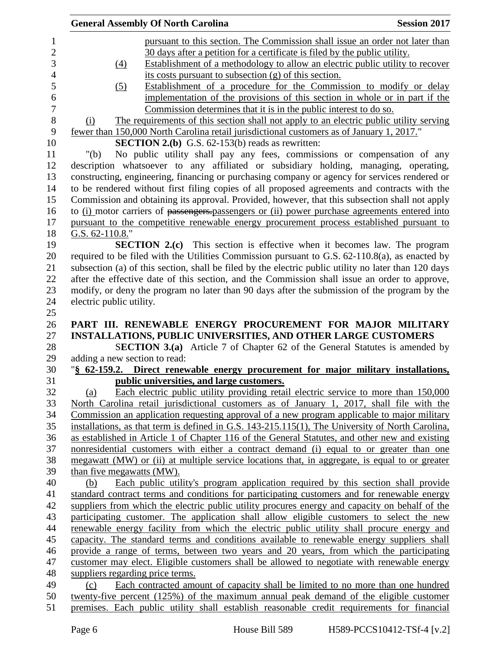|                               | <b>General Assembly Of North Carolina</b>                                                            | <b>Session 2017</b> |
|-------------------------------|------------------------------------------------------------------------------------------------------|---------------------|
|                               | pursuant to this section. The Commission shall issue an order not later than                         |                     |
|                               | 30 days after a petition for a certificate is filed by the public utility.                           |                     |
| $\Delta$                      | Establishment of a methodology to allow an electric public utility to recover                        |                     |
|                               | its costs pursuant to subsection (g) of this section.                                                |                     |
| $\left( 5\right)$             | Establishment of a procedure for the Commission to modify or delay                                   |                     |
|                               | implementation of the provisions of this section in whole or in part if the                          |                     |
|                               | Commission determines that it is in the public interest to do so.                                    |                     |
| (i)                           | The requirements of this section shall not apply to an electric public utility serving               |                     |
|                               | fewer than 150,000 North Carolina retail jurisdictional customers as of January 1, 2017."            |                     |
|                               | <b>SECTION 2.(b)</b> G.S. $62-153(b)$ reads as rewritten:                                            |                     |
| " $(b)$                       | No public utility shall pay any fees, commissions or compensation of any                             |                     |
|                               | description whatsoever to any affiliated or subsidiary holding, managing, operating,                 |                     |
|                               | constructing, engineering, financing or purchasing company or agency for services rendered or        |                     |
|                               | to be rendered without first filing copies of all proposed agreements and contracts with the         |                     |
|                               | Commission and obtaining its approval. Provided, however, that this subsection shall not apply       |                     |
|                               | to (i) motor carriers of passengers-passengers or (ii) power purchase agreements entered into        |                     |
|                               | pursuant to the competitive renewable energy procurement process established pursuant to             |                     |
| G.S. $62-110.8$ ."            |                                                                                                      |                     |
|                               | <b>SECTION 2.(c)</b> This section is effective when it becomes law. The program                      |                     |
|                               | required to be filed with the Utilities Commission pursuant to G.S. 62-110.8(a), as enacted by       |                     |
|                               | subsection (a) of this section, shall be filed by the electric public utility no later than 120 days |                     |
|                               | after the effective date of this section, and the Commission shall issue an order to approve,        |                     |
|                               | modify, or deny the program no later than 90 days after the submission of the program by the         |                     |
| electric public utility.      |                                                                                                      |                     |
|                               |                                                                                                      |                     |
|                               | PART III. RENEWABLE ENERGY PROCUREMENT FOR MAJOR MILITARY                                            |                     |
|                               | INSTALLATIONS, PUBLIC UNIVERSITIES, AND OTHER LARGE CUSTOMERS                                        |                     |
|                               | SECTION 3.(a) Article 7 of Chapter 62 of the General Statutes is amended by                          |                     |
| adding a new section to read: |                                                                                                      |                     |
|                               | "§ 62-159.2. Direct renewable energy procurement for major military installations,                   |                     |
|                               | public universities, and large customers.                                                            |                     |
| (a)                           | Each electric public utility providing retail electric service to more than 150,000                  |                     |
|                               | North Carolina retail jurisdictional customers as of January 1, 2017, shall file with the            |                     |
|                               | Commission an application requesting approval of a new program applicable to major military          |                     |
|                               | installations, as that term is defined in G.S. 143-215.115(1), The University of North Carolina,     |                     |
|                               | as established in Article 1 of Chapter 116 of the General Statutes, and other new and existing       |                     |
|                               | nonresidential customers with either a contract demand (i) equal to or greater than one              |                     |
|                               | megawatt (MW) or (ii) at multiple service locations that, in aggregate, is equal to or greater       |                     |
| than five megawatts (MW).     |                                                                                                      |                     |
| (b)                           | Each public utility's program application required by this section shall provide                     |                     |
|                               | standard contract terms and conditions for participating customers and for renewable energy          |                     |
|                               | suppliers from which the electric public utility procures energy and capacity on behalf of the       |                     |
|                               | participating customer. The application shall allow eligible customers to select the new             |                     |
|                               | renewable energy facility from which the electric public utility shall procure energy and            |                     |
|                               | capacity. The standard terms and conditions available to renewable energy suppliers shall            |                     |
|                               | provide a range of terms, between two years and 20 years, from which the participating               |                     |
|                               | customer may elect. Eligible customers shall be allowed to negotiate with renewable energy           |                     |
|                               | suppliers regarding price terms.                                                                     |                     |
| (c)                           | Each contracted amount of capacity shall be limited to no more than one hundred                      |                     |
|                               | twenty-five percent (125%) of the maximum annual peak demand of the eligible customer                |                     |
|                               | premises. Each public utility shall establish reasonable credit requirements for financial           |                     |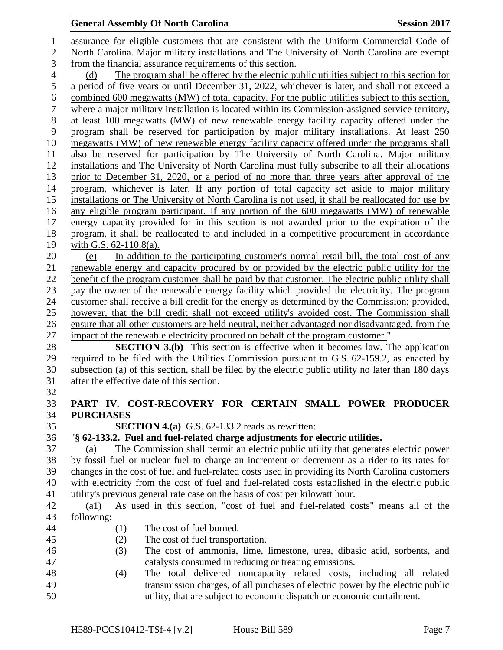assurance for eligible customers that are consistent with the Uniform Commercial Code of North Carolina. Major military installations and The University of North Carolina are exempt from the financial assurance requirements of this section. (d) The program shall be offered by the electric public utilities subject to this section for a period of five years or until December 31, 2022, whichever is later, and shall not exceed a combined 600 megawatts (MW) of total capacity. For the public utilities subject to this section, where a major military installation is located within its Commission-assigned service territory, at least 100 megawatts (MW) of new renewable energy facility capacity offered under the program shall be reserved for participation by major military installations. At least 250 megawatts (MW) of new renewable energy facility capacity offered under the programs shall also be reserved for participation by The University of North Carolina. Major military installations and The University of North Carolina must fully subscribe to all their allocations prior to December 31, 2020, or a period of no more than three years after approval of the program, whichever is later. If any portion of total capacity set aside to major military installations or The University of North Carolina is not used, it shall be reallocated for use by any eligible program participant. If any portion of the 600 megawatts (MW) of renewable energy capacity provided for in this section is not awarded prior to the expiration of the program, it shall be reallocated to and included in a competitive procurement in accordance with G.S. 62-110.8(a). (e) In addition to the participating customer's normal retail bill, the total cost of any renewable energy and capacity procured by or provided by the electric public utility for the benefit of the program customer shall be paid by that customer. The electric public utility shall pay the owner of the renewable energy facility which provided the electricity. The program customer shall receive a bill credit for the energy as determined by the Commission; provided, however, that the bill credit shall not exceed utility's avoided cost. The Commission shall ensure that all other customers are held neutral, neither advantaged nor disadvantaged, from the impact of the renewable electricity procured on behalf of the program customer." **SECTION 3.(b)** This section is effective when it becomes law. The application required to be filed with the Utilities Commission pursuant to G.S. 62-159.2, as enacted by subsection (a) of this section, shall be filed by the electric public utility no later than 180 days after the effective date of this section. **PART IV. COST-RECOVERY FOR CERTAIN SMALL POWER PRODUCER PURCHASES SECTION 4.(a)** G.S. 62-133.2 reads as rewritten: "**§ 62-133.2. Fuel and fuel-related charge adjustments for electric utilities.** (a) The Commission shall permit an electric public utility that generates electric power by fossil fuel or nuclear fuel to charge an increment or decrement as a rider to its rates for changes in the cost of fuel and fuel-related costs used in providing its North Carolina customers with electricity from the cost of fuel and fuel-related costs established in the electric public utility's previous general rate case on the basis of cost per kilowatt hour. (a1) As used in this section, "cost of fuel and fuel-related costs" means all of the following: (1) The cost of fuel burned. (2) The cost of fuel transportation. (3) The cost of ammonia, lime, limestone, urea, dibasic acid, sorbents, and catalysts consumed in reducing or treating emissions. (4) The total delivered noncapacity related costs, including all related transmission charges, of all purchases of electric power by the electric public utility, that are subject to economic dispatch or economic curtailment.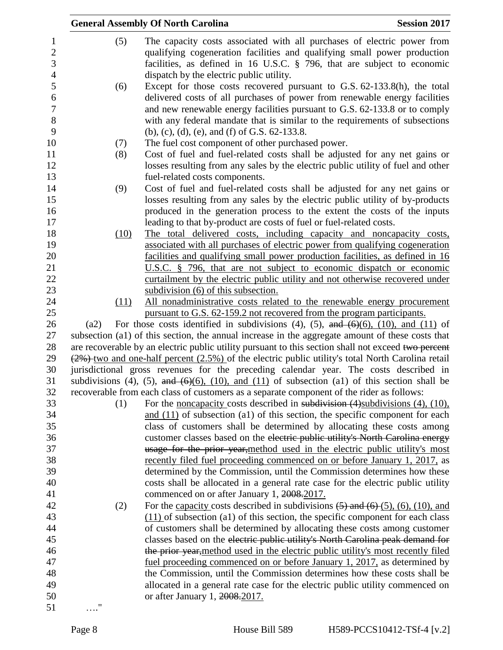|      | <b>General Assembly Of North Carolina</b>                                                                                                                                                                                                                                                                                                                               | <b>Session 2017</b> |
|------|-------------------------------------------------------------------------------------------------------------------------------------------------------------------------------------------------------------------------------------------------------------------------------------------------------------------------------------------------------------------------|---------------------|
| (5)  | The capacity costs associated with all purchases of electric power from<br>qualifying cogeneration facilities and qualifying small power production<br>facilities, as defined in 16 U.S.C. § 796, that are subject to economic<br>dispatch by the electric public utility.                                                                                              |                     |
| (6)  | Except for those costs recovered pursuant to G.S. 62-133.8(h), the total<br>delivered costs of all purchases of power from renewable energy facilities<br>and new renewable energy facilities pursuant to G.S. 62-133.8 or to comply<br>with any federal mandate that is similar to the requirements of subsections<br>(b), (c), (d), (e), and (f) of G.S. $62-133.8$ . |                     |
| (7)  | The fuel cost component of other purchased power.                                                                                                                                                                                                                                                                                                                       |                     |
| (8)  | Cost of fuel and fuel-related costs shall be adjusted for any net gains or<br>losses resulting from any sales by the electric public utility of fuel and other<br>fuel-related costs components.                                                                                                                                                                        |                     |
| (9)  | Cost of fuel and fuel-related costs shall be adjusted for any net gains or<br>losses resulting from any sales by the electric public utility of by-products<br>produced in the generation process to the extent the costs of the inputs                                                                                                                                 |                     |
| (10) | leading to that by-product are costs of fuel or fuel-related costs.<br>The total delivered costs, including capacity and noncapacity costs,<br>associated with all purchases of electric power from qualifying cogeneration                                                                                                                                             |                     |
|      | facilities and qualifying small power production facilities, as defined in 16<br>U.S.C. $\frac{8}{9}$ 796, that are not subject to economic dispatch or economic<br>curtailment by the electric public utility and not otherwise recovered under<br>subdivision (6) of this subsection.                                                                                 |                     |
| (11) | All nonadministrative costs related to the renewable energy procurement<br>pursuant to G.S. 62-159.2 not recovered from the program participants.                                                                                                                                                                                                                       |                     |
| (a2) | For those costs identified in subdivisions (4), (5), and $(6)(6)$ , (10), and (11) of<br>subsection (a1) of this section, the annual increase in the aggregate amount of these costs that                                                                                                                                                                               |                     |
|      | are recoverable by an electric public utility pursuant to this section shall not exceed two percent                                                                                                                                                                                                                                                                     |                     |
|      | $(2%)$ -two and one-half percent $(2.5%)$ of the electric public utility's total North Carolina retail                                                                                                                                                                                                                                                                  |                     |
|      | jurisdictional gross revenues for the preceding calendar year. The costs described in                                                                                                                                                                                                                                                                                   |                     |
|      | subdivisions (4), (5), and $(6)(6)$ , (10), and (11) of subsection (a1) of this section shall be                                                                                                                                                                                                                                                                        |                     |
|      | recoverable from each class of customers as a separate component of the rider as follows:                                                                                                                                                                                                                                                                               |                     |
| (1)  | For the <u>noncapacity</u> costs described in subdivision $(4)$ subdivisions $(4)$ , $(10)$ ,<br>and $(11)$ of subsection $(a1)$ of this section, the specific component for each                                                                                                                                                                                       |                     |
|      | class of customers shall be determined by allocating these costs among                                                                                                                                                                                                                                                                                                  |                     |
|      | customer classes based on the electric public utility's North Carolina energy<br>usage for the prior year, method used in the electric public utility's most                                                                                                                                                                                                            |                     |
|      | recently filed fuel proceeding commenced on or before January 1, 2017, as                                                                                                                                                                                                                                                                                               |                     |
|      | determined by the Commission, until the Commission determines how these                                                                                                                                                                                                                                                                                                 |                     |
|      | costs shall be allocated in a general rate case for the electric public utility                                                                                                                                                                                                                                                                                         |                     |
|      | commenced on or after January 1, 2008.2017.                                                                                                                                                                                                                                                                                                                             |                     |
| (2)  | For the capacity costs described in subdivisions $(5)$ and $(6)$ $(5)$ , $(6)$ , $(10)$ , and                                                                                                                                                                                                                                                                           |                     |
|      | $(11)$ of subsection (a1) of this section, the specific component for each class                                                                                                                                                                                                                                                                                        |                     |
|      | of customers shall be determined by allocating these costs among customer<br>classes based on the electric public utility's North Carolina peak demand for                                                                                                                                                                                                              |                     |
|      | the prior year, method used in the electric public utility's most recently filed                                                                                                                                                                                                                                                                                        |                     |
|      | <u>fuel proceeding commenced on or before January 1, 2017</u> , as determined by                                                                                                                                                                                                                                                                                        |                     |
|      | the Commission, until the Commission determines how these costs shall be                                                                                                                                                                                                                                                                                                |                     |
|      | allocated in a general rate case for the electric public utility commenced on                                                                                                                                                                                                                                                                                           |                     |
|      | or after January 1, 2008.2017.                                                                                                                                                                                                                                                                                                                                          |                     |
| 11   |                                                                                                                                                                                                                                                                                                                                                                         |                     |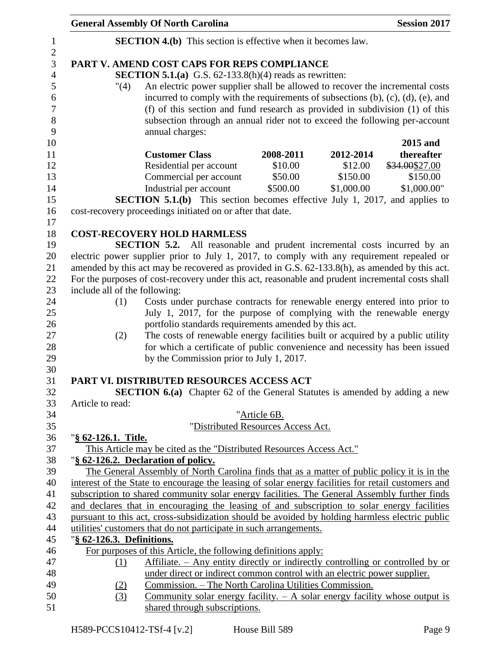| <b>General Assembly Of North Carolina</b>                            | <b>Session 2017</b>                                                                                |
|----------------------------------------------------------------------|----------------------------------------------------------------------------------------------------|
| <b>SECTION 4.(b)</b> This section is effective when it becomes law.  |                                                                                                    |
| PART V. AMEND COST CAPS FOR REPS COMPLIANCE                          |                                                                                                    |
| <b>SECTION 5.1.(a)</b> G.S. $62-133.8(h)(4)$ reads as rewritten:     |                                                                                                    |
| "(4)                                                                 | An electric power supplier shall be allowed to recover the incremental costs                       |
|                                                                      | incurred to comply with the requirements of subsections $(b)$ , $(c)$ , $(d)$ , $(e)$ , and        |
|                                                                      | (f) of this section and fund research as provided in subdivision (1) of this                       |
|                                                                      | subsection through an annual rider not to exceed the following per-account                         |
| annual charges:                                                      |                                                                                                    |
|                                                                      | 2015 and                                                                                           |
| <b>Customer Class</b>                                                | thereafter<br>2008-2011<br>2012-2014                                                               |
| Residential per account                                              | \$10.00<br>\$12.00<br>\$34.00\$27.00                                                               |
| Commercial per account                                               | \$50.00<br>\$150.00<br>\$150.00                                                                    |
| Industrial per account                                               | \$500.00<br>\$1,000.00<br>\$1,000.00"                                                              |
|                                                                      | <b>SECTION 5.1.(b)</b> This section becomes effective July 1, 2017, and applies to                 |
| cost-recovery proceedings initiated on or after that date.           |                                                                                                    |
| <b>COST-RECOVERY HOLD HARMLESS</b>                                   |                                                                                                    |
|                                                                      | SECTION 5.2. All reasonable and prudent incremental costs incurred by an                           |
|                                                                      | electric power supplier prior to July 1, 2017, to comply with any requirement repealed or          |
|                                                                      | amended by this act may be recovered as provided in G.S. 62-133.8(h), as amended by this act.      |
|                                                                      | For the purposes of cost-recovery under this act, reasonable and prudent incremental costs shall   |
| include all of the following:                                        |                                                                                                    |
| (1)                                                                  | Costs under purchase contracts for renewable energy entered into prior to                          |
|                                                                      | July 1, 2017, for the purpose of complying with the renewable energy                               |
|                                                                      | portfolio standards requirements amended by this act.                                              |
| (2)                                                                  | The costs of renewable energy facilities built or acquired by a public utility                     |
|                                                                      | for which a certificate of public convenience and necessity has been issued                        |
| by the Commission prior to July 1, 2017.                             |                                                                                                    |
| PART VI. DISTRIBUTED RESOURCES ACCESS ACT                            |                                                                                                    |
|                                                                      | <b>SECTION 6.(a)</b> Chapter 62 of the General Statutes is amended by adding a new                 |
| Article to read:                                                     |                                                                                                    |
|                                                                      | "Article 6B.                                                                                       |
|                                                                      | "Distributed Resources Access Act.                                                                 |
| "§ 62-126.1. Title.                                                  |                                                                                                    |
| This Article may be cited as the "Distributed Resources Access Act." |                                                                                                    |
| "§ 62-126.2. Declaration of policy.                                  |                                                                                                    |
|                                                                      | The General Assembly of North Carolina finds that as a matter of public policy it is in the        |
|                                                                      | interest of the State to encourage the leasing of solar energy facilities for retail customers and |
|                                                                      | subscription to shared community solar energy facilities. The General Assembly further finds       |
|                                                                      | and declares that in encouraging the leasing of and subscription to solar energy facilities        |
| utilities' customers that do not participate in such arrangements.   | pursuant to this act, cross-subsidization should be avoided by holding harmless electric public    |
| "§ 62-126.3. Definitions.                                            |                                                                                                    |
| For purposes of this Article, the following definitions apply:       |                                                                                                    |
| <u>(1)</u>                                                           | Affiliate. – Any entity directly or indirectly controlling or controlled by or                     |
|                                                                      | under direct or indirect common control with an electric power supplier.                           |
| (2)                                                                  | Commission. - The North Carolina Utilities Commission.                                             |
| (3)                                                                  | Community solar energy facility. $- A$ solar energy facility whose output is                       |
| shared through subscriptions.                                        |                                                                                                    |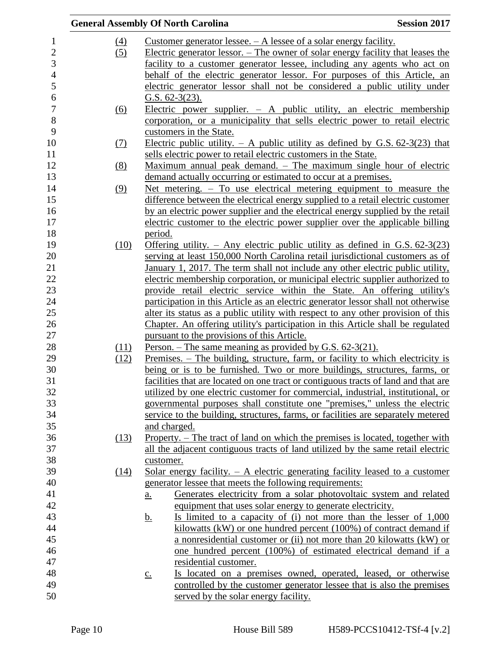|                  | <b>General Assembly Of North Carolina</b>                                                        | <b>Session 2017</b> |
|------------------|--------------------------------------------------------------------------------------------------|---------------------|
| $\left(4\right)$ | Customer generator lessee. $- A$ lessee of a solar energy facility.                              |                     |
| (5)              | Electric generator lessor. – The owner of solar energy facility that leases the                  |                     |
|                  | facility to a customer generator lessee, including any agents who act on                         |                     |
|                  | behalf of the electric generator lessor. For purposes of this Article, an                        |                     |
|                  | electric generator lessor shall not be considered a public utility under                         |                     |
|                  | G.S. $62-3(23)$ .                                                                                |                     |
| <u>(6)</u>       | Electric power supplier. $-$ A public utility, an electric membership                            |                     |
|                  | corporation, or a municipality that sells electric power to retail electric                      |                     |
|                  | customers in the State.                                                                          |                     |
| <u>(7)</u>       | Electric public utility. $-$ A public utility as defined by G.S. 62-3(23) that                   |                     |
|                  | sells electric power to retail electric customers in the State.                                  |                     |
| (8)              | Maximum annual peak demand. – The maximum single hour of electric                                |                     |
|                  | demand actually occurring or estimated to occur at a premises.                                   |                     |
| (9)              | Net metering. – To use electrical metering equipment to measure the                              |                     |
|                  | difference between the electrical energy supplied to a retail electric customer                  |                     |
|                  | by an electric power supplier and the electrical energy supplied by the retail                   |                     |
|                  | electric customer to the electric power supplier over the applicable billing                     |                     |
|                  | period.                                                                                          |                     |
| (10)             | <u>Offering utility. – Any electric public utility as defined in G.S. <math>62-3(23)</math></u>  |                     |
|                  | serving at least 150,000 North Carolina retail jurisdictional customers as of                    |                     |
|                  | January 1, 2017. The term shall not include any other electric public utility,                   |                     |
|                  | electric membership corporation, or municipal electric supplier authorized to                    |                     |
|                  | provide retail electric service within the State. An offering utility's                          |                     |
|                  | participation in this Article as an electric generator lessor shall not otherwise                |                     |
|                  | alter its status as a public utility with respect to any other provision of this                 |                     |
|                  | Chapter. An offering utility's participation in this Article shall be regulated                  |                     |
|                  | pursuant to the provisions of this Article.                                                      |                     |
| (11)             | Person. – The same meaning as provided by G.S. $62-3(21)$ .                                      |                     |
| (12)             | <u>Premises. – The building, structure, farm, or facility to which electricity is</u>            |                     |
|                  | being or is to be furnished. Two or more buildings, structures, farms, or                        |                     |
|                  | facilities that are located on one tract or contiguous tracts of land and that are               |                     |
|                  | utilized by one electric customer for commercial, industrial, institutional, or                  |                     |
|                  | governmental purposes shall constitute one "premises," unless the electric                       |                     |
|                  | service to the building, structures, farms, or facilities are separately metered                 |                     |
|                  | and charged.                                                                                     |                     |
| (13)             | Property. – The tract of land on which the premises is located, together with                    |                     |
|                  | all the adjacent contiguous tracts of land utilized by the same retail electric                  |                     |
|                  | customer.                                                                                        |                     |
| (14)             | <u>Solar energy facility. <math>-</math> A electric generating facility leased to a customer</u> |                     |
|                  | generator lessee that meets the following requirements:                                          |                     |
|                  | Generates electricity from a solar photovoltaic system and related<br><u>a.</u>                  |                     |
|                  | equipment that uses solar energy to generate electricity.                                        |                     |
|                  | Is limited to a capacity of (i) not more than the lesser of $1,000$<br><u>b.</u>                 |                     |
|                  | kilowatts (kW) or one hundred percent $(100\%)$ of contract demand if                            |                     |
|                  | a nonresidential customer or (ii) not more than 20 kilowatts (kW) or                             |                     |
|                  | one hundred percent (100%) of estimated electrical demand if a                                   |                     |
|                  | residential customer.                                                                            |                     |
|                  | Is located on a premises owned, operated, leased, or otherwise<br>$\underline{c}$ .              |                     |
|                  | controlled by the customer generator lessee that is also the premises                            |                     |
|                  | served by the solar energy facility.                                                             |                     |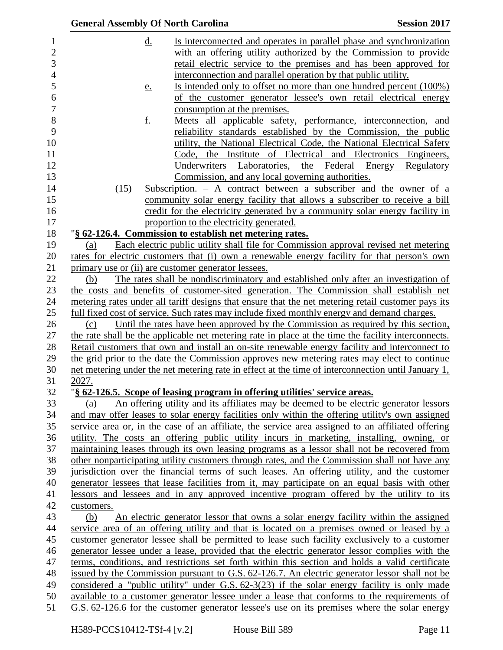|       |            |           | <b>General Assembly Of North Carolina</b>                                                   | <b>Session 2017</b>                                                                                 |
|-------|------------|-----------|---------------------------------------------------------------------------------------------|-----------------------------------------------------------------------------------------------------|
|       |            | <u>d.</u> |                                                                                             | Is interconnected and operates in parallel phase and synchronization                                |
|       |            |           |                                                                                             | with an offering utility authorized by the Commission to provide                                    |
|       |            |           |                                                                                             | retail electric service to the premises and has been approved for                                   |
|       |            |           | interconnection and parallel operation by that public utility.                              |                                                                                                     |
|       |            | <u>e.</u> |                                                                                             | Is intended only to offset no more than one hundred percent (100%)                                  |
|       |            |           |                                                                                             | of the customer generator lessee's own retail electrical energy                                     |
|       |            |           | consumption at the premises.                                                                |                                                                                                     |
|       |            | <u>f.</u> |                                                                                             | Meets all applicable safety, performance, interconnection, and                                      |
|       |            |           |                                                                                             | reliability standards established by the Commission, the public                                     |
|       |            |           |                                                                                             | utility, the National Electrical Code, the National Electrical Safety                               |
|       |            |           | Code,                                                                                       | the Institute of Electrical and Electronics Engineers,                                              |
|       |            |           |                                                                                             | Underwriters Laboratories, the Federal Energy Regulatory                                            |
|       |            |           | Commission, and any local governing authorities.                                            |                                                                                                     |
|       | (15)       |           |                                                                                             | Subscription. $-$ A contract between a subscriber and the owner of a                                |
|       |            |           |                                                                                             | community solar energy facility that allows a subscriber to receive a bill                          |
|       |            |           |                                                                                             | credit for the electricity generated by a community solar energy facility in                        |
|       |            |           | proportion to the electricity generated.                                                    |                                                                                                     |
|       |            |           | "§ 62-126.4. Commission to establish net metering rates.                                    |                                                                                                     |
| (a)   |            |           |                                                                                             | Each electric public utility shall file for Commission approval revised net metering                |
|       |            |           |                                                                                             | rates for electric customers that (i) own a renewable energy facility for that person's own         |
|       |            |           | primary use or (ii) are customer generator lessees.                                         |                                                                                                     |
| (b)   |            |           |                                                                                             | The rates shall be nondiscriminatory and established only after an investigation of                 |
|       |            |           |                                                                                             | the costs and benefits of customer-sited generation. The Commission shall establish net             |
|       |            |           |                                                                                             | metering rates under all tariff designs that ensure that the net metering retail customer pays its  |
|       |            |           | full fixed cost of service. Such rates may include fixed monthly energy and demand charges. |                                                                                                     |
| (c)   |            |           |                                                                                             | Until the rates have been approved by the Commission as required by this section,                   |
|       |            |           |                                                                                             | the rate shall be the applicable net metering rate in place at the time the facility interconnects. |
|       |            |           |                                                                                             | Retail customers that own and install an on-site renewable energy facility and interconnect to      |
|       |            |           |                                                                                             | the grid prior to the date the Commission approves new metering rates may elect to continue         |
|       |            |           |                                                                                             | net metering under the net metering rate in effect at the time of interconnection until January 1,  |
| 2027. |            |           |                                                                                             |                                                                                                     |
|       |            |           | "§ 62-126.5. Scope of leasing program in offering utilities' service areas.                 |                                                                                                     |
| (a)   |            |           |                                                                                             | An offering utility and its affiliates may be deemed to be electric generator lessors               |
|       |            |           |                                                                                             | and may offer leases to solar energy facilities only within the offering utility's own assigned     |
|       |            |           |                                                                                             | service area or, in the case of an affiliate, the service area assigned to an affiliated offering   |
|       |            |           |                                                                                             | utility. The costs an offering public utility incurs in marketing, installing, owning, or           |
|       |            |           |                                                                                             | maintaining leases through its own leasing programs as a lessor shall not be recovered from         |
|       |            |           |                                                                                             | other nonparticipating utility customers through rates, and the Commission shall not have any       |
|       |            |           |                                                                                             | jurisdiction over the financial terms of such leases. An offering utility, and the customer         |
|       |            |           |                                                                                             | generator lessees that lease facilities from it, may participate on an equal basis with other       |
|       |            |           |                                                                                             | lessors and lessees and in any approved incentive program offered by the utility to its             |
|       | customers. |           |                                                                                             |                                                                                                     |
| (b)   |            |           |                                                                                             | An electric generator lessor that owns a solar energy facility within the assigned                  |
|       |            |           |                                                                                             | service area of an offering utility and that is located on a premises owned or leased by a          |
|       |            |           |                                                                                             | customer generator lessee shall be permitted to lease such facility exclusively to a customer       |
|       |            |           |                                                                                             | generator lessee under a lease, provided that the electric generator lessor complies with the       |
|       |            |           |                                                                                             | terms, conditions, and restrictions set forth within this section and holds a valid certificate     |
|       |            |           |                                                                                             | issued by the Commission pursuant to G.S. 62-126.7. An electric generator lessor shall not be       |
|       |            |           |                                                                                             | considered a "public utility" under G.S. $62-3(23)$ if the solar energy facility is only made       |
|       |            |           |                                                                                             | available to a customer generator lessee under a lease that conforms to the requirements of         |
|       |            |           |                                                                                             | G.S. 62-126.6 for the customer generator lessee's use on its premises where the solar energy        |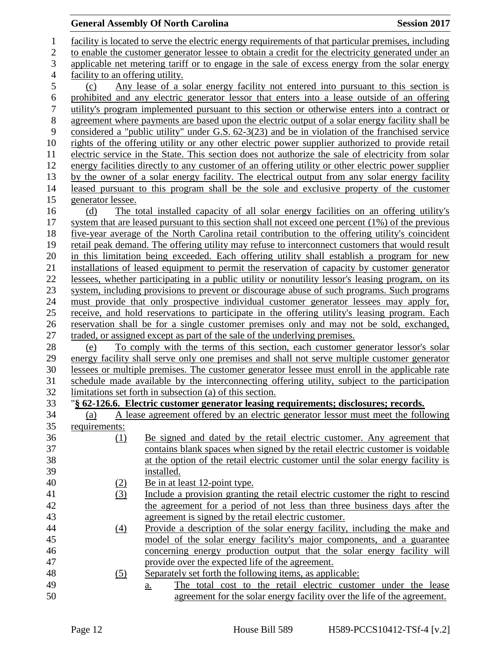| $\mathbf{1}$     |                                  | facility is located to serve the electric energy requirements of that particular premises, including |
|------------------|----------------------------------|------------------------------------------------------------------------------------------------------|
| $\overline{2}$   |                                  | to enable the customer generator lessee to obtain a credit for the electricity generated under an    |
| 3                |                                  | applicable net metering tariff or to engage in the sale of excess energy from the solar energy       |
| $\overline{4}$   | facility to an offering utility. |                                                                                                      |
| 5                | (c)                              | Any lease of a solar energy facility not entered into pursuant to this section is                    |
| 6                |                                  | prohibited and any electric generator lessor that enters into a lease outside of an offering         |
| $\boldsymbol{7}$ |                                  | utility's program implemented pursuant to this section or otherwise enters into a contract or        |
| 8                |                                  | agreement where payments are based upon the electric output of a solar energy facility shall be      |
| 9                |                                  | considered a "public utility" under G.S. 62-3(23) and be in violation of the franchised service      |
| 10               |                                  | rights of the offering utility or any other electric power supplier authorized to provide retail     |
| 11               |                                  | electric service in the State. This section does not authorize the sale of electricity from solar    |
| 12               |                                  | energy facilities directly to any customer of an offering utility or other electric power supplier   |
| 13               |                                  | by the owner of a solar energy facility. The electrical output from any solar energy facility        |
| 14               |                                  | leased pursuant to this program shall be the sole and exclusive property of the customer             |
| 15               | generator lessee.                |                                                                                                      |
| 16               | (d)                              |                                                                                                      |
| 17               |                                  | The total installed capacity of all solar energy facilities on an offering utility's                 |
|                  |                                  | system that are leased pursuant to this section shall not exceed one percent $(1\%)$ of the previous |
| 18               |                                  | five-year average of the North Carolina retail contribution to the offering utility's coincident     |
| 19               |                                  | retail peak demand. The offering utility may refuse to interconnect customers that would result      |
| 20               |                                  | in this limitation being exceeded. Each offering utility shall establish a program for new           |
| 21               |                                  | installations of leased equipment to permit the reservation of capacity by customer generator        |
| 22               |                                  | lessees, whether participating in a public utility or nonutility lessor's leasing program, on its    |
| 23               |                                  | system, including provisions to prevent or discourage abuse of such programs. Such programs          |
| 24               |                                  | must provide that only prospective individual customer generator lessees may apply for,              |
| 25               |                                  | receive, and hold reservations to participate in the offering utility's leasing program. Each        |
| 26               |                                  | reservation shall be for a single customer premises only and may not be sold, exchanged,             |
| 27               |                                  | traded, or assigned except as part of the sale of the underlying premises.                           |
| 28               | (e)                              | To comply with the terms of this section, each customer generator lessor's solar                     |
| 29               |                                  | energy facility shall serve only one premises and shall not serve multiple customer generator        |
| 30               |                                  | lessees or multiple premises. The customer generator lessee must enroll in the applicable rate       |
| 31               |                                  | schedule made available by the interconnecting offering utility, subject to the participation        |
| 32               |                                  | limitations set forth in subsection (a) of this section.                                             |
| 33               |                                  | "§ 62-126.6. Electric customer generator leasing requirements; disclosures; records.                 |
| 34               | (a)                              | A lease agreement offered by an electric generator lessor must meet the following                    |
| 35               | requirements:                    |                                                                                                      |
| 36               | (1)                              | Be signed and dated by the retail electric customer. Any agreement that                              |
| 37               |                                  | contains blank spaces when signed by the retail electric customer is voidable                        |
| 38               |                                  | at the option of the retail electric customer until the solar energy facility is                     |
| 39               |                                  | installed.                                                                                           |
| 40               | (2)                              | Be in at least 12-point type.                                                                        |
| 41               | (3)                              | Include a provision granting the retail electric customer the right to rescind                       |
| 42               |                                  | the agreement for a period of not less than three business days after the                            |
| 43               |                                  | agreement is signed by the retail electric customer.                                                 |
| 44               | $\left(4\right)$                 | Provide a description of the solar energy facility, including the make and                           |
| 45               |                                  | model of the solar energy facility's major components, and a guarantee                               |
| 46               |                                  | concerning energy production output that the solar energy facility will                              |
| 47               |                                  | provide over the expected life of the agreement.                                                     |
| 48               | <u>(5)</u>                       | Separately set forth the following items, as applicable:                                             |
| 49               |                                  | The total cost to the retail electric customer under the lease<br><u>a.</u>                          |
| 50               |                                  | agreement for the solar energy facility over the life of the agreement.                              |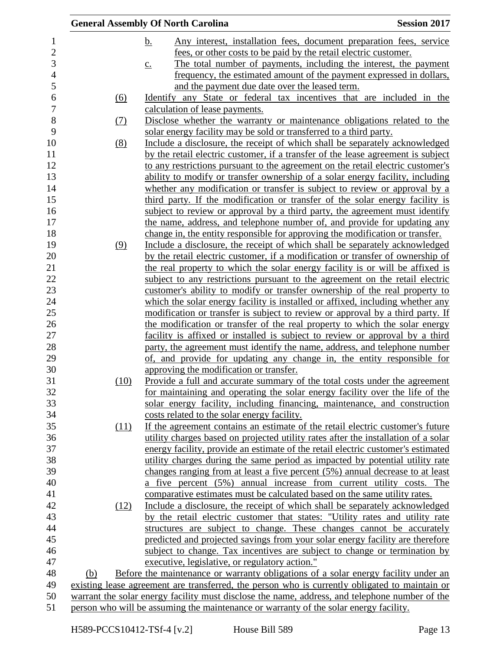|            | <b>General Assembly Of North Carolina</b>                                                      | <b>Session 2017</b> |
|------------|------------------------------------------------------------------------------------------------|---------------------|
|            | <u>b.</u><br>Any interest, installation fees, document preparation fees, service               |                     |
|            | fees, or other costs to be paid by the retail electric customer.                               |                     |
|            | The total number of payments, including the interest, the payment<br>$\underline{c}$ .         |                     |
|            | frequency, the estimated amount of the payment expressed in dollars,                           |                     |
|            | and the payment due date over the leased term.                                                 |                     |
| (6)        | Identify any State or federal tax incentives that are included in the                          |                     |
|            | calculation of lease payments.                                                                 |                     |
| <u>(7)</u> | Disclose whether the warranty or maintenance obligations related to the                        |                     |
|            | solar energy facility may be sold or transferred to a third party.                             |                     |
| (8)        | Include a disclosure, the receipt of which shall be separately acknowledged                    |                     |
|            | by the retail electric customer, if a transfer of the lease agreement is subject               |                     |
|            | to any restrictions pursuant to the agreement on the retail electric customer's                |                     |
|            | ability to modify or transfer ownership of a solar energy facility, including                  |                     |
|            | whether any modification or transfer is subject to review or approval by a                     |                     |
|            | third party. If the modification or transfer of the solar energy facility is                   |                     |
|            | subject to review or approval by a third party, the agreement must identify                    |                     |
|            | the name, address, and telephone number of, and provide for updating any                       |                     |
|            | change in, the entity responsible for approving the modification or transfer.                  |                     |
| (9)        | Include a disclosure, the receipt of which shall be separately acknowledged                    |                     |
|            | by the retail electric customer, if a modification or transfer of ownership of                 |                     |
|            | the real property to which the solar energy facility is or will be affixed is                  |                     |
|            | subject to any restrictions pursuant to the agreement on the retail electric                   |                     |
|            | customer's ability to modify or transfer ownership of the real property to                     |                     |
|            | which the solar energy facility is installed or affixed, including whether any                 |                     |
|            | modification or transfer is subject to review or approval by a third party. If                 |                     |
|            | the modification or transfer of the real property to which the solar energy                    |                     |
|            | facility is affixed or installed is subject to review or approval by a third                   |                     |
|            | party, the agreement must identify the name, address, and telephone number                     |                     |
|            | of, and provide for updating any change in, the entity responsible for                         |                     |
|            | approving the modification or transfer.                                                        |                     |
| (10)       | Provide a full and accurate summary of the total costs under the agreement                     |                     |
|            | for maintaining and operating the solar energy facility over the life of the                   |                     |
|            | solar energy facility, including financing, maintenance, and construction                      |                     |
|            | costs related to the solar energy facility.                                                    |                     |
| (11)       | If the agreement contains an estimate of the retail electric customer's future                 |                     |
|            | utility charges based on projected utility rates after the installation of a solar             |                     |
|            | energy facility, provide an estimate of the retail electric customer's estimated               |                     |
|            | utility charges during the same period as impacted by potential utility rate                   |                     |
|            | changes ranging from at least a five percent (5%) annual decrease to at least                  |                     |
|            | a five percent (5%) annual increase from current utility costs. The                            |                     |
|            | comparative estimates must be calculated based on the same utility rates.                      |                     |
| (12)       | Include a disclosure, the receipt of which shall be separately acknowledged                    |                     |
|            | by the retail electric customer that states: "Utility rates and utility rate                   |                     |
|            | structures are subject to change. These changes cannot be accurately                           |                     |
|            | predicted and projected savings from your solar energy facility are therefore                  |                     |
|            | subject to change. Tax incentives are subject to change or termination by                      |                     |
|            | executive, legislative, or regulatory action."                                                 |                     |
| (b)        | Before the maintenance or warranty obligations of a solar energy facility under an             |                     |
|            | existing lease agreement are transferred, the person who is currently obligated to maintain or |                     |
|            | warrant the solar energy facility must disclose the name, address, and telephone number of the |                     |
|            | person who will be assuming the maintenance or warranty of the solar energy facility.          |                     |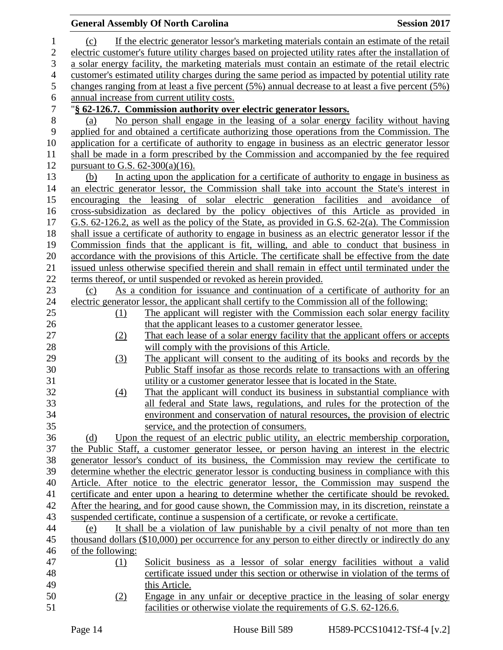### **General Assembly Of North Carolina Session 2017**  (c) If the electric generator lessor's marketing materials contain an estimate of the retail electric customer's future utility charges based on projected utility rates after the installation of a solar energy facility, the marketing materials must contain an estimate of the retail electric customer's estimated utility charges during the same period as impacted by potential utility rate changes ranging from at least a five percent (5%) annual decrease to at least a five percent (5%) 6 annual increase from current utility costs.<br>7 <sup>"§</sup> 62-126.7. Commission authority over "**§ 62-126.7. Commission authority over electric generator lessors.** (a) No person shall engage in the leasing of a solar energy facility without having applied for and obtained a certificate authorizing those operations from the Commission. The application for a certificate of authority to engage in business as an electric generator lessor shall be made in a form prescribed by the Commission and accompanied by the fee required pursuant to G.S. 62-300(a)(16). (b) In acting upon the application for a certificate of authority to engage in business as an electric generator lessor, the Commission shall take into account the State's interest in encouraging the leasing of solar electric generation facilities and avoidance of cross-subsidization as declared by the policy objectives of this Article as provided in G.S. 62-126.2, as well as the policy of the State, as provided in G.S. 62-2(a). The Commission shall issue a certificate of authority to engage in business as an electric generator lessor if the Commission finds that the applicant is fit, willing, and able to conduct that business in accordance with the provisions of this Article. The certificate shall be effective from the date issued unless otherwise specified therein and shall remain in effect until terminated under the terms thereof, or until suspended or revoked as herein provided. (c) As a condition for issuance and continuation of a certificate of authority for an electric generator lessor, the applicant shall certify to the Commission all of the following: (1) The applicant will register with the Commission each solar energy facility that the applicant leases to a customer generator lessee. (2) That each lease of a solar energy facility that the applicant offers or accepts will comply with the provisions of this Article. (3) The applicant will consent to the auditing of its books and records by the Public Staff insofar as those records relate to transactions with an offering utility or a customer generator lessee that is located in the State. (4) That the applicant will conduct its business in substantial compliance with all federal and State laws, regulations, and rules for the protection of the environment and conservation of natural resources, the provision of electric service, and the protection of consumers. (d) Upon the request of an electric public utility, an electric membership corporation, the Public Staff, a customer generator lessee, or person having an interest in the electric generator lessor's conduct of its business, the Commission may review the certificate to determine whether the electric generator lessor is conducting business in compliance with this Article. After notice to the electric generator lessor, the Commission may suspend the certificate and enter upon a hearing to determine whether the certificate should be revoked. After the hearing, and for good cause shown, the Commission may, in its discretion, reinstate a suspended certificate, continue a suspension of a certificate, or revoke a certificate. (e) It shall be a violation of law punishable by a civil penalty of not more than ten thousand dollars (\$10,000) per occurrence for any person to either directly or indirectly do any of the following: (1) Solicit business as a lessor of solar energy facilities without a valid certificate issued under this section or otherwise in violation of the terms of this Article. (2) Engage in any unfair or deceptive practice in the leasing of solar energy facilities or otherwise violate the requirements of G.S. 62-126.6.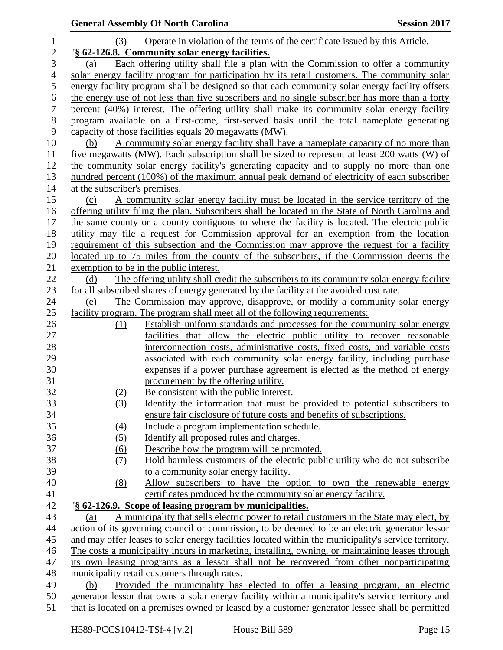|                |                               | <b>General Assembly Of North Carolina</b>                                                                                                           | <b>Session 2017</b> |
|----------------|-------------------------------|-----------------------------------------------------------------------------------------------------------------------------------------------------|---------------------|
| $\mathbf{1}$   | (3)                           | Operate in violation of the terms of the certificate issued by this Article.                                                                        |                     |
| $\overline{c}$ |                               | "§ 62-126.8. Community solar energy facilities.                                                                                                     |                     |
| 3              | (a)                           | Each offering utility shall file a plan with the Commission to offer a community                                                                    |                     |
| $\overline{4}$ |                               | solar energy facility program for participation by its retail customers. The community solar                                                        |                     |
| 5              |                               | energy facility program shall be designed so that each community solar energy facility offsets                                                      |                     |
| 6              |                               | the energy use of not less than five subscribers and no single subscriber has more than a forty                                                     |                     |
| $\tau$         |                               | percent (40%) interest. The offering utility shall make its community solar energy facility                                                         |                     |
| $8\,$          |                               | program available on a first-come, first-served basis until the total nameplate generating                                                          |                     |
| 9              |                               | capacity of those facilities equals 20 megawatts (MW).                                                                                              |                     |
| 10             | (b)                           | A community solar energy facility shall have a nameplate capacity of no more than                                                                   |                     |
| 11             |                               | five megawatts (MW). Each subscription shall be sized to represent at least 200 watts (W) of                                                        |                     |
| 12             |                               | the community solar energy facility's generating capacity and to supply no more than one                                                            |                     |
| 13             |                               | hundred percent (100%) of the maximum annual peak demand of electricity of each subscriber                                                          |                     |
| 14             | at the subscriber's premises. |                                                                                                                                                     |                     |
| 15             | (c)                           | A community solar energy facility must be located in the service territory of the                                                                   |                     |
| 16             |                               | offering utility filing the plan. Subscribers shall be located in the State of North Carolina and                                                   |                     |
| 17             |                               | the same county or a county contiguous to where the facility is located. The electric public                                                        |                     |
| 18             |                               | utility may file a request for Commission approval for an exemption from the location                                                               |                     |
| 19             |                               | requirement of this subsection and the Commission may approve the request for a facility                                                            |                     |
| 20             |                               | located up to 75 miles from the county of the subscribers, if the Commission deems the                                                              |                     |
| 21<br>22       | (d)                           | exemption to be in the public interest.<br>The offering utility shall credit the subscribers to its community solar energy facility                 |                     |
| 23             |                               | for all subscribed shares of energy generated by the facility at the avoided cost rate.                                                             |                     |
| 24             | (e)                           | The Commission may approve, disapprove, or modify a community solar energy                                                                          |                     |
| 25             |                               | facility program. The program shall meet all of the following requirements:                                                                         |                     |
| 26             | (1)                           | Establish uniform standards and processes for the community solar energy                                                                            |                     |
| 27             |                               | facilities that allow the electric public utility to recover reasonable                                                                             |                     |
| 28             |                               | interconnection costs, administrative costs, fixed costs, and variable costs                                                                        |                     |
| 29             |                               | associated with each community solar energy facility, including purchase                                                                            |                     |
| 30             |                               | expenses if a power purchase agreement is elected as the method of energy                                                                           |                     |
| 31             |                               | procurement by the offering utility.                                                                                                                |                     |
| 32             | (2)                           | Be consistent with the public interest.                                                                                                             |                     |
| 33             | (3)                           | <u>Identify</u> the information that must be provided to potential subscribers to                                                                   |                     |
| 34             |                               | ensure fair disclosure of future costs and benefits of subscriptions.                                                                               |                     |
| 35             | (4)                           | Include a program implementation schedule.                                                                                                          |                     |
| 36             | (5)                           | Identify all proposed rules and charges.                                                                                                            |                     |
| 37             | (6)                           | Describe how the program will be promoted.                                                                                                          |                     |
| 38             | (7)                           | Hold harmless customers of the electric public utility who do not subscribe                                                                         |                     |
| 39             |                               | to a community solar energy facility.                                                                                                               |                     |
| 40             | (8)                           | Allow subscribers to have the option to own the renewable energy                                                                                    |                     |
| 41<br>42       |                               | certificates produced by the community solar energy facility.                                                                                       |                     |
| 43             | (a)                           | "§ 62-126.9. Scope of leasing program by municipalities.<br>A municipality that sells electric power to retail customers in the State may elect, by |                     |
| 44             |                               | action of its governing council or commission, to be deemed to be an electric generator lessor                                                      |                     |
| 45             |                               | and may offer leases to solar energy facilities located within the municipality's service territory.                                                |                     |
| 46             |                               | The costs a municipality incurs in marketing, installing, owning, or maintaining leases through                                                     |                     |
| 47             |                               | its own leasing programs as a lessor shall not be recovered from other nonparticipating                                                             |                     |
| 48             |                               | municipality retail customers through rates.                                                                                                        |                     |
| 49             | (b)                           | Provided the municipality has elected to offer a leasing program, an electric                                                                       |                     |
| 50             |                               | generator lessor that owns a solar energy facility within a municipality's service territory and                                                    |                     |
| 51             |                               | that is located on a premises owned or leased by a customer generator lessee shall be permitted                                                     |                     |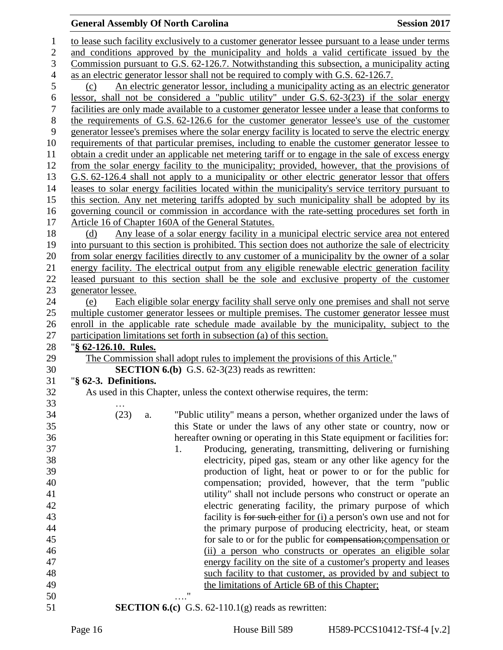| 1              | to lease such facility exclusively to a customer generator lessee pursuant to a lease under terms                                          |
|----------------|--------------------------------------------------------------------------------------------------------------------------------------------|
| $\mathbf{2}$   | and conditions approved by the municipality and holds a valid certificate issued by the                                                    |
| 3              | Commission pursuant to G.S. 62-126.7. Notwithstanding this subsection, a municipality acting                                               |
| $\overline{4}$ | as an electric generator lessor shall not be required to comply with G.S. 62-126.7.                                                        |
| 5              | An electric generator lessor, including a municipality acting as an electric generator<br>(c)                                              |
| 6              | lessor, shall not be considered a "public utility" under G.S. $62-3(23)$ if the solar energy                                               |
| $\tau$         | facilities are only made available to a customer generator lessee under a lease that conforms to                                           |
| $8\,$          | the requirements of G.S. 62-126.6 for the customer generator lessee's use of the customer                                                  |
| $\mathbf{9}$   |                                                                                                                                            |
| 10             | generator lessee's premises where the solar energy facility is located to serve the electric energy                                        |
| 11             | requirements of that particular premises, including to enable the customer generator lessee to                                             |
|                | obtain a credit under an applicable net metering tariff or to engage in the sale of excess energy                                          |
| 12             | from the solar energy facility to the municipality; provided, however, that the provisions of                                              |
| 13             | G.S. 62-126.4 shall not apply to a municipality or other electric generator lessor that offers                                             |
| 14             | leases to solar energy facilities located within the municipality's service territory pursuant to                                          |
| 15             | this section. Any net metering tariffs adopted by such municipality shall be adopted by its                                                |
| 16             | governing council or commission in accordance with the rate-setting procedures set forth in                                                |
| 17             | Article 16 of Chapter 160A of the General Statutes.                                                                                        |
| 18             | Any lease of a solar energy facility in a municipal electric service area not entered<br>(d)                                               |
| 19             | into pursuant to this section is prohibited. This section does not authorize the sale of electricity                                       |
| 20             | from solar energy facilities directly to any customer of a municipality by the owner of a solar                                            |
| 21             | energy facility. The electrical output from any eligible renewable electric generation facility                                            |
| 22             | leased pursuant to this section shall be the sole and exclusive property of the customer                                                   |
| 23             | generator lessee.                                                                                                                          |
| 24             | Each eligible solar energy facility shall serve only one premises and shall not serve<br>(e)                                               |
| 25             | multiple customer generator lessees or multiple premises. The customer generator lessee must                                               |
| 26             | enroll in the applicable rate schedule made available by the municipality, subject to the                                                  |
| 27             | participation limitations set forth in subsection (a) of this section.                                                                     |
| 28             | "§ 62-126.10. Rules.                                                                                                                       |
| 29<br>30       | The Commission shall adopt rules to implement the provisions of this Article."<br><b>SECTION 6.(b)</b> G.S. $62-3(23)$ reads as rewritten: |
| 31             | "§ 62-3. Definitions.                                                                                                                      |
| 32             | As used in this Chapter, unless the context otherwise requires, the term:                                                                  |
| 33             |                                                                                                                                            |
| 34             | (23)<br>"Public utility" means a person, whether organized under the laws of                                                               |
| 35             | a.<br>this State or under the laws of any other state or country, now or                                                                   |
| 36             | hereafter owning or operating in this State equipment or facilities for:                                                                   |
| 37             | Producing, generating, transmitting, delivering or furnishing<br>1.                                                                        |
| 38             | electricity, piped gas, steam or any other like agency for the                                                                             |
| 39             | production of light, heat or power to or for the public for                                                                                |
| 40             | compensation; provided, however, that the term "public                                                                                     |
| 41             | utility" shall not include persons who construct or operate an                                                                             |
| 42             | electric generating facility, the primary purpose of which                                                                                 |
| 43             | facility is for such either for (i) a person's own use and not for                                                                         |
| 44             | the primary purpose of producing electricity, heat, or steam                                                                               |
| 45             | for sale to or for the public for compensation; compensation or                                                                            |
| 46             | (ii) a person who constructs or operates an eligible solar                                                                                 |
| 47             | energy facility on the site of a customer's property and leases                                                                            |
| 48             | such facility to that customer, as provided by and subject to                                                                              |
| 49             | the limitations of Article 6B of this Chapter;                                                                                             |
| 50             | 11                                                                                                                                         |
| 51             | <b>SECTION 6.(c)</b> G.S. $62-110.1(g)$ reads as rewritten:                                                                                |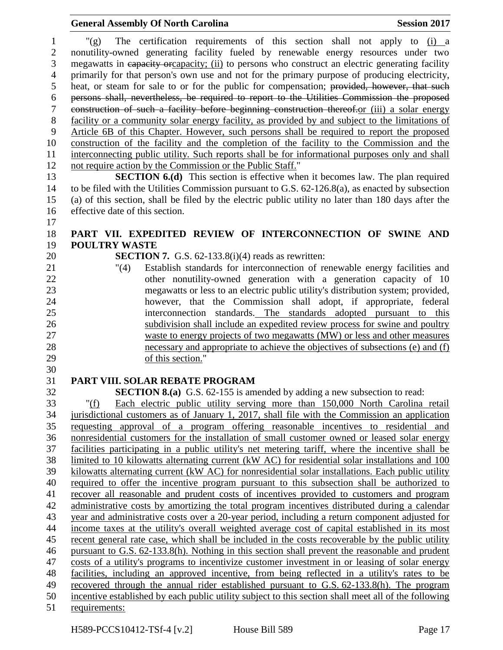"(g) The certification requirements of this section shall not apply to (i) a nonutility-owned generating facility fueled by renewable energy resources under two megawatts in capacity orcapacity; (ii) to persons who construct an electric generating facility primarily for that person's own use and not for the primary purpose of producing electricity, heat, or steam for sale to or for the public for compensation; provided, however, that such persons shall, nevertheless, be required to report to the Utilities Commission the proposed construction of such a facility before beginning construction thereof.or (iii) a solar energy facility or a community solar energy facility, as provided by and subject to the limitations of Article 6B of this Chapter. However, such persons shall be required to report the proposed construction of the facility and the completion of the facility to the Commission and the interconnecting public utility. Such reports shall be for informational purposes only and shall not require action by the Commission or the Public Staff."

 **SECTION 6.(d)** This section is effective when it becomes law. The plan required to be filed with the Utilities Commission pursuant to G.S. 62-126.8(a), as enacted by subsection (a) of this section, shall be filed by the electric public utility no later than 180 days after the effective date of this section. 

## **PART VII. EXPEDITED REVIEW OF INTERCONNECTION OF SWINE AND POULTRY WASTE**

**SECTION 7.** G.S. 62-133.8(i)(4) reads as rewritten:

 "(4) Establish standards for interconnection of renewable energy facilities and 22 other nonutility-owned generation with a generation capacity of 10 megawatts or less to an electric public utility's distribution system; provided, however, that the Commission shall adopt, if appropriate, federal interconnection standards. The standards adopted pursuant to this subdivision shall include an expedited review process for swine and poultry waste to energy projects of two megawatts (MW) or less and other measures necessary and appropriate to achieve the objectives of subsections (e) and (f) of this section."

#### 

### **PART VIII. SOLAR REBATE PROGRAM**

**SECTION 8.(a)** G.S. 62-155 is amended by adding a new subsection to read:

 "(f) Each electric public utility serving more than 150,000 North Carolina retail jurisdictional customers as of January 1, 2017, shall file with the Commission an application requesting approval of a program offering reasonable incentives to residential and nonresidential customers for the installation of small customer owned or leased solar energy facilities participating in a public utility's net metering tariff, where the incentive shall be limited to 10 kilowatts alternating current (kW AC) for residential solar installations and 100 kilowatts alternating current (kW AC) for nonresidential solar installations. Each public utility required to offer the incentive program pursuant to this subsection shall be authorized to recover all reasonable and prudent costs of incentives provided to customers and program administrative costs by amortizing the total program incentives distributed during a calendar year and administrative costs over a 20-year period, including a return component adjusted for income taxes at the utility's overall weighted average cost of capital established in its most recent general rate case, which shall be included in the costs recoverable by the public utility pursuant to G.S. 62-133.8(h). Nothing in this section shall prevent the reasonable and prudent costs of a utility's programs to incentivize customer investment in or leasing of solar energy facilities, including an approved incentive, from being reflected in a utility's rates to be recovered through the annual rider established pursuant to G.S. 62-133.8(h). The program incentive established by each public utility subject to this section shall meet all of the following requirements: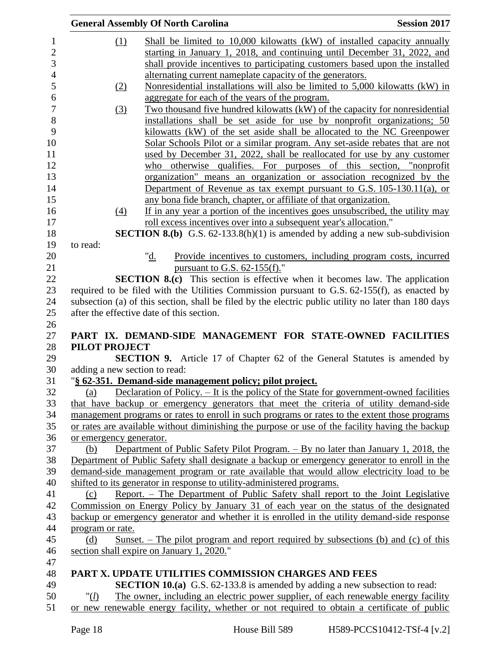|                               | <b>General Assembly Of North Carolina</b>                                                                                                          | <b>Session 2017</b>                                                |
|-------------------------------|----------------------------------------------------------------------------------------------------------------------------------------------------|--------------------------------------------------------------------|
| (1)                           | Shall be limited to 10,000 kilowatts (kW) of installed capacity annually                                                                           |                                                                    |
|                               | starting in January 1, 2018, and continuing until December 31, 2022, and                                                                           |                                                                    |
|                               | shall provide incentives to participating customers based upon the installed                                                                       |                                                                    |
|                               | alternating current nameplate capacity of the generators.                                                                                          |                                                                    |
| (2)                           | Nonresidential installations will also be limited to 5,000 kilowatts (kW) in                                                                       |                                                                    |
|                               | aggregate for each of the years of the program.                                                                                                    |                                                                    |
| (3)                           | Two thousand five hundred kilowatts (kW) of the capacity for nonresidential                                                                        |                                                                    |
|                               | installations shall be set aside for use by nonprofit organizations; 50                                                                            |                                                                    |
|                               | kilowatts (kW) of the set aside shall be allocated to the NC Greenpower                                                                            |                                                                    |
|                               | Solar Schools Pilot or a similar program. Any set-aside rebates that are not                                                                       |                                                                    |
|                               | used by December 31, 2022, shall be reallocated for use by any customer                                                                            |                                                                    |
|                               | who otherwise qualifies. For purposes of this section, "nonprofit                                                                                  |                                                                    |
|                               | organization" means an organization or association recognized by the                                                                               |                                                                    |
|                               | Department of Revenue as tax exempt pursuant to G.S. $105-130.11(a)$ , or                                                                          |                                                                    |
| (4)                           | any bona fide branch, chapter, or affiliate of that organization.<br>If in any year a portion of the incentives goes unsubscribed, the utility may |                                                                    |
|                               | roll excess incentives over into a subsequent year's allocation."                                                                                  |                                                                    |
|                               | <b>SECTION 8.(b)</b> G.S. $62-133.8(h)(1)$ is amended by adding a new sub-subdivision                                                              |                                                                    |
| to read:                      |                                                                                                                                                    |                                                                    |
|                               | "d.                                                                                                                                                | Provide incentives to customers, including program costs, incurred |
|                               | pursuant to G.S. $62-155(f)$ ."                                                                                                                    |                                                                    |
|                               | <b>SECTION 8.(c)</b> This section is effective when it becomes law. The application                                                                |                                                                    |
|                               | required to be filed with the Utilities Commission pursuant to G.S. 62-155(f), as enacted by                                                       |                                                                    |
|                               | subsection (a) of this section, shall be filed by the electric public utility no later than 180 days                                               |                                                                    |
|                               | after the effective date of this section.                                                                                                          |                                                                    |
|                               |                                                                                                                                                    |                                                                    |
|                               | PART IX. DEMAND-SIDE MANAGEMENT FOR STATE-OWNED FACILITIES                                                                                         |                                                                    |
| <b>PILOT PROJECT</b>          | <b>SECTION 9.</b> Article 17 of Chapter 62 of the General Statutes is amended by                                                                   |                                                                    |
| adding a new section to read: |                                                                                                                                                    |                                                                    |
|                               | "§ 62-351. Demand-side management policy; pilot project.                                                                                           |                                                                    |
| (a)                           | Declaration of Policy. $-$ It is the policy of the State for government-owned facilities                                                           |                                                                    |
|                               | that have backup or emergency generators that meet the criteria of utility demand-side                                                             |                                                                    |
|                               | management programs or rates to enroll in such programs or rates to the extent those programs                                                      |                                                                    |
|                               | or rates are available without diminishing the purpose or use of the facility having the backup                                                    |                                                                    |
| or emergency generator.       |                                                                                                                                                    |                                                                    |
| (b)                           | Department of Public Safety Pilot Program. – By no later than January 1, 2018, the                                                                 |                                                                    |
|                               | Department of Public Safety shall designate a backup or emergency generator to enroll in the                                                       |                                                                    |
|                               | demand-side management program or rate available that would allow electricity load to be                                                           |                                                                    |
|                               | shifted to its generator in response to utility-administered programs.                                                                             |                                                                    |
| (c)                           | Report. - The Department of Public Safety shall report to the Joint Legislative                                                                    |                                                                    |
|                               | Commission on Energy Policy by January 31 of each year on the status of the designated                                                             |                                                                    |
|                               | backup or emergency generator and whether it is enrolled in the utility demand-side response                                                       |                                                                    |
| program or rate.              |                                                                                                                                                    |                                                                    |
| (d)                           | <u>Sunset. – The pilot program and report required</u> by subsections (b) and (c) of this                                                          |                                                                    |
|                               | section shall expire on January 1, 2020."                                                                                                          |                                                                    |
|                               | <b>PART X. UPDATE UTILITIES COMMISSION CHARGES AND FEES</b>                                                                                        |                                                                    |
|                               | <b>SECTION 10.(a)</b> G.S. 62-133.8 is amended by adding a new subsection to read:                                                                 |                                                                    |
| " $(l)$                       | The owner, including an electric power supplier, of each renewable energy facility                                                                 |                                                                    |
|                               | or new renewable energy facility, whether or not required to obtain a certificate of public                                                        |                                                                    |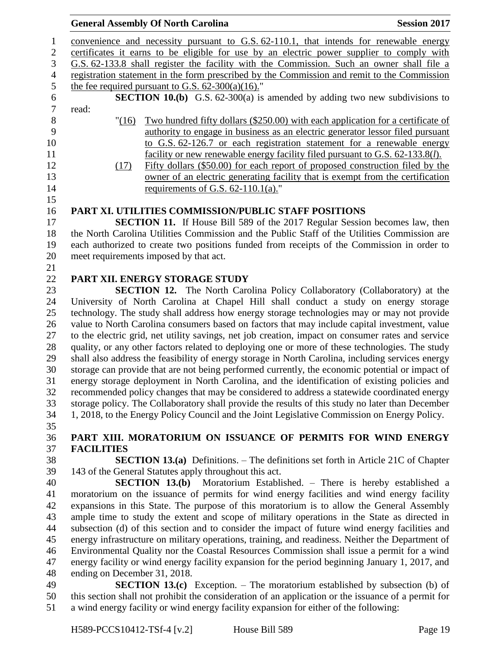## **General Assembly Of North Carolina Session 2017**  convenience and necessity pursuant to G.S. 62-110.1, that intends for renewable energy certificates it earns to be eligible for use by an electric power supplier to comply with G.S. 62-133.8 shall register the facility with the Commission. Such an owner shall file a registration statement in the form prescribed by the Commission and remit to the Commission 5 the fee required pursuant to G.S.  $62-300(a)(16)$ ." **SECTION 10.(b)** G.S. 62-300(a) is amended by adding two new subdivisions to read: read: "(16) Two hundred fifty dollars (\$250.00) with each application for a certificate of authority to engage in business as an electric generator lessor filed pursuant to G.S. 62-126.7 or each registration statement for a renewable energy facility or new renewable energy facility filed pursuant to G.S. 62-133.8(*l*). (17) Fifty dollars (\$50.00) for each report of proposed construction filed by the owner of an electric generating facility that is exempt from the certification 14 requirements of G.S. 62-110.1(a)." **PART XI. UTILITIES COMMISSION/PUBLIC STAFF POSITIONS SECTION 11.** If House Bill 589 of the 2017 Regular Session becomes law, then the North Carolina Utilities Commission and the Public Staff of the Utilities Commission are each authorized to create two positions funded from receipts of the Commission in order to meet requirements imposed by that act. **PART XII. ENERGY STORAGE STUDY SECTION 12.** The North Carolina Policy Collaboratory (Collaboratory) at the University of North Carolina at Chapel Hill shall conduct a study on energy storage technology. The study shall address how energy storage technologies may or may not provide value to North Carolina consumers based on factors that may include capital investment, value to the electric grid, net utility savings, net job creation, impact on consumer rates and service quality, or any other factors related to deploying one or more of these technologies. The study shall also address the feasibility of energy storage in North Carolina, including services energy storage can provide that are not being performed currently, the economic potential or impact of energy storage deployment in North Carolina, and the identification of existing policies and recommended policy changes that may be considered to address a statewide coordinated energy storage policy. The Collaboratory shall provide the results of this study no later than December 1, 2018, to the Energy Policy Council and the Joint Legislative Commission on Energy Policy. **PART XIII. MORATORIUM ON ISSUANCE OF PERMITS FOR WIND ENERGY FACILITIES SECTION 13.(a)** Definitions. – The definitions set forth in Article 21C of Chapter 143 of the General Statutes apply throughout this act. **SECTION 13.(b)** Moratorium Established. – There is hereby established a moratorium on the issuance of permits for wind energy facilities and wind energy facility expansions in this State. The purpose of this moratorium is to allow the General Assembly ample time to study the extent and scope of military operations in the State as directed in subsection (d) of this section and to consider the impact of future wind energy facilities and energy infrastructure on military operations, training, and readiness. Neither the Department of

 Environmental Quality nor the Coastal Resources Commission shall issue a permit for a wind energy facility or wind energy facility expansion for the period beginning January 1, 2017, and ending on December 31, 2018.

 **SECTION 13.(c)** Exception. – The moratorium established by subsection (b) of this section shall not prohibit the consideration of an application or the issuance of a permit for a wind energy facility or wind energy facility expansion for either of the following: